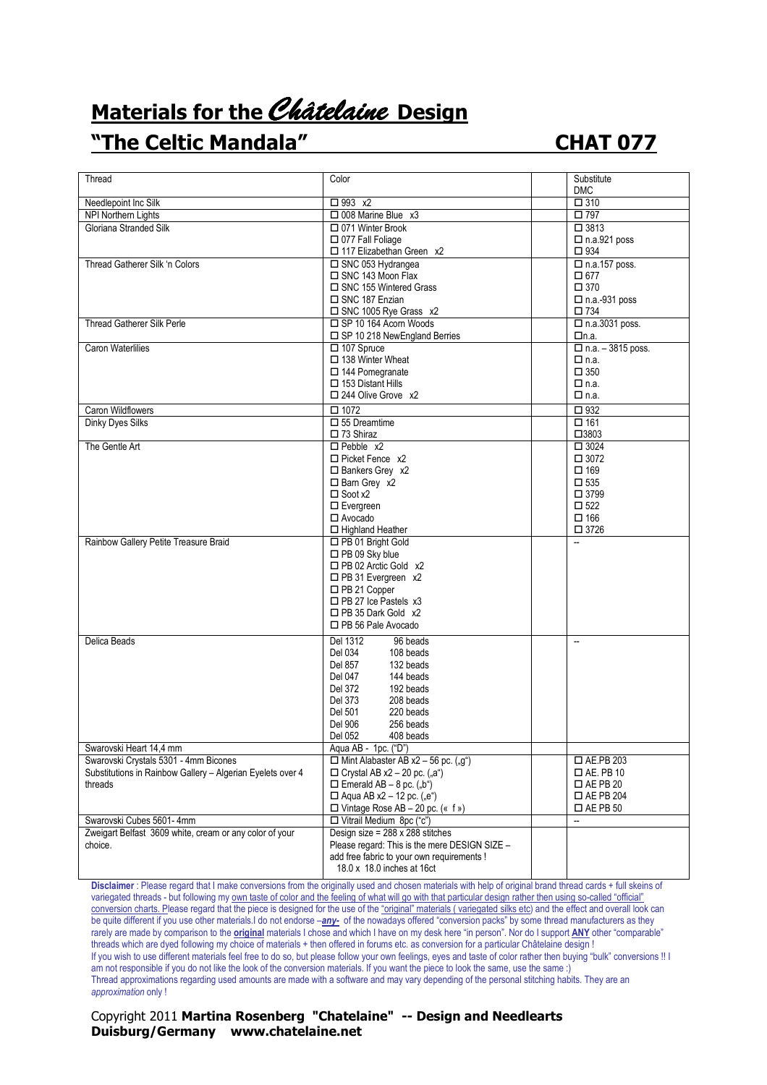## **Materials for the** Châtelaine **Design**

## **"The Celtic Mandala" CHAT 077**

| Thread                                                                | Color                                                                  | Substitute                          |
|-----------------------------------------------------------------------|------------------------------------------------------------------------|-------------------------------------|
|                                                                       |                                                                        | <b>DMC</b>                          |
| Needlepoint Inc Silk                                                  | $\Box$ 993 x2                                                          | $\Box$ 310                          |
| NPI Northern Lights                                                   | $\Box$ 008 Marine Blue $x3$                                            | □ 797                               |
| Gloriana Stranded Silk                                                | □ 071 Winter Brook                                                     | $\Box$ 3813                         |
|                                                                       | $\Box$ 077 Fall Foliage                                                | $\Box$ n.a.921 poss                 |
|                                                                       | □ 117 Elizabethan Green x2                                             | $\square$ 934                       |
| Thread Gatherer Silk 'n Colors                                        | □ SNC 053 Hydrangea                                                    | $\Box$ n.a.157 poss.                |
|                                                                       | $\Box$ SNC 143 Moon Flax                                               | $\square$ 677                       |
|                                                                       | □ SNC 155 Wintered Grass                                               | $\square$ 370                       |
|                                                                       | □ SNC 187 Enzian                                                       | $\square$ n.a.-931 poss             |
|                                                                       | □ SNC 1005 Rye Grass x2                                                | □ 734                               |
| <b>Thread Gatherer Silk Perle</b>                                     | SP 10 164 Acorn Woods                                                  | $\square$ n.a.3031 poss.            |
|                                                                       | □ SP 10 218 NewEngland Berries                                         | □n.a.                               |
| Caron Waterlilies                                                     | $\Box$ 107 Spruce                                                      | $\Box$ n.a. - 3815 poss.            |
|                                                                       | □ 138 Winter Wheat                                                     | $\Box$ n.a.                         |
|                                                                       | $\square$ 144 Pomegranate                                              | $\square$ 350                       |
|                                                                       | $\Box$ 153 Distant Hills                                               | $\Box$ n.a.                         |
|                                                                       | $\Box$ 244 Olive Grove x2                                              | $\Box$ n.a.                         |
| Caron Wildflowers                                                     | $\square$ 1072                                                         | □ 932                               |
| Dinky Dyes Silks                                                      | $\square$ 55 Dreamtime                                                 | □ 161                               |
|                                                                       | $\Box$ 73 Shiraz                                                       | □3803                               |
| The Gentle Art                                                        | $\Box$ Pebble $x2$                                                     | $\Box$ 3024                         |
|                                                                       | $\Box$ Picket Fence x2                                                 | $\square$ 3072                      |
|                                                                       | $\Box$ Bankers Grey x2                                                 | $\square$ 169                       |
|                                                                       | $\Box$ Barn Grey x2                                                    | $\square$ 535                       |
|                                                                       | $\square$ Soot x2                                                      | □ 3799                              |
|                                                                       | $\square$ Evergreen                                                    | $\square$ 522                       |
|                                                                       | $\Box$ Avocado                                                         | $\square$ 166                       |
|                                                                       | □ Highland Heather                                                     | $\square$ 3726                      |
| Rainbow Gallery Petite Treasure Braid                                 | □ PB 01 Bright Gold                                                    |                                     |
|                                                                       | □ PB 09 Sky blue                                                       |                                     |
|                                                                       | □ PB 02 Arctic Gold x2                                                 |                                     |
|                                                                       | $\Box$ PB 31 Evergreen x2                                              |                                     |
|                                                                       | □ PB 21 Copper                                                         |                                     |
|                                                                       | $\Box$ PB 27 Ice Pastels x3                                            |                                     |
|                                                                       | $\Box$ PB 35 Dark Gold $x2$                                            |                                     |
|                                                                       | □ PB 56 Pale Avocado                                                   |                                     |
| Delica Beads                                                          | Del 1312<br>96 beads                                                   | $\overline{\phantom{a}}$            |
|                                                                       | Del 034<br>108 beads                                                   |                                     |
|                                                                       | Del 857<br>132 beads                                                   |                                     |
|                                                                       | Del 047<br>144 beads                                                   |                                     |
|                                                                       | Del 372<br>192 beads                                                   |                                     |
|                                                                       | Del 373<br>208 beads                                                   |                                     |
|                                                                       | Del 501<br>220 beads                                                   |                                     |
|                                                                       | Del 906<br>256 beads                                                   |                                     |
|                                                                       | Del 052<br>408 beads                                                   |                                     |
| Swarovski Heart 14,4 mm                                               | Aqua AB - 1pc. ("D")                                                   |                                     |
| Swarovski Crystals 5301 - 4mm Bicones                                 | $\Box$ Mint Alabaster AB x2 - 56 pc. ("g")                             | $\square$ AE.PB 203                 |
| Substitutions in Rainbow Gallery - Algerian Eyelets over 4<br>threads | $\Box$ Crystal AB x2 – 20 pc. ("a")<br>$\Box$ Emerald AB – 8 pc. ("b") | $\Box$ AE. PB 10<br>$\Box$ AE PB 20 |
|                                                                       | □ Aqua AB $x2 - 12$ pc. ("e")                                          | $\square$ AE PB 204                 |
|                                                                       | $\Box$ Vintage Rose AB - 20 pc. (« f »)                                | $\square$ AE PB 50                  |
| Swarovski Cubes 5601-4mm                                              | □ Vitrail Medium 8pc ("c")                                             | --                                  |
| Zweigart Belfast 3609 white, cream or any color of your               | Design size = $288 \times 288$ stitches                                |                                     |
| choice.                                                               | Please regard: This is the mere DESIGN SIZE -                          |                                     |
|                                                                       | add free fabric to your own requirements !                             |                                     |
|                                                                       | 18.0 x 18.0 inches at 16ct                                             |                                     |
|                                                                       |                                                                        |                                     |

**Disclaimer** : Please regard that I make conversions from the originally used and chosen materials with help of original brand thread cards + full skeins of variegated threads - but following my own taste of color and the feeling of what will go with that particular design rather then using so-called "official" conversion charts. Please regard that the piece is designed for the use of the "original" materials ( variegated silks etc) and the effect and overall look can be quite different if you use other materials.I do not endorse –*any-* of the nowadays offered "conversion packs" by some thread manufacturers as they rarely are made by comparison to the **original** materials I chose and which I have on my desk here "in person". Nor do I support **ANY** other "comparable" threads which are dyed following my choice of materials + then offered in forums etc. as conversion for a particular Châtelaine design ! If you wish to use different materials feel free to do so, but please follow your own feelings, eyes and taste of color rather then buying "bulk" conversions !! I am not responsible if you do not like the look of the conversion materials. If you want the piece to look the same, use the same :) Thread approximations regarding used amounts are made with a software and may vary depending of the personal stitching habits. They are an *approximation* only !

## Copyright 2011 **Martina Rosenberg "Chatelaine" -- Design and Needlearts Duisburg/Germany www.chatelaine.net**